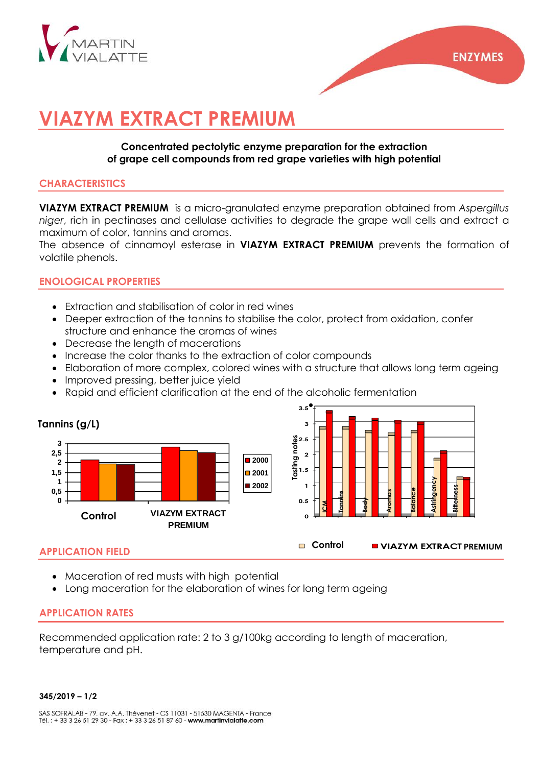

# **VIAZYM EXTRACT PREMIUM**

## **Concentrated pectolytic enzyme preparation for the extraction of grape cell compounds from red grape varieties with high potential**

## **CHARACTERISTICS**

**VIAZYM EXTRACT PREMIUM** is a micro-granulated enzyme preparation obtained from *Aspergillus niger*, rich in pectinases and cellulase activities to degrade the grape wall cells and extract a maximum of color, tannins and aromas.

The absence of cinnamoyl esterase in **VIAZYM EXTRACT PREMIUM** prevents the formation of volatile phenols.

# **ENOLOGICAL PROPERTIES**

- Extraction and stabilisation of color in red wines
- Deeper extraction of the tannins to stabilise the color, protect from oxidation, confer structure and enhance the aromas of wines
- Decrease the lenath of macerations
- Increase the color thanks to the extraction of color compounds
- Elaboration of more complex, colored wines with a structure that allows long term ageing
- Improved pressing, better juice yield
- Rapid and efficient clarification at the end of the alcoholic fermentation



## **APPLICATION FIELD**

- Maceration of red musts with high potential
- Long maceration for the elaboration of wines for long term ageing

## **APPLICATION RATES**

Recommended application rate: 2 to 3 g/100kg according to length of maceration, temperature and pH.

#### **345/2019 – 1/2**

SAS SOFRALAB - 79, av. A.A. Thévenet - CS 11031 - 51530 MAGENTA - France Tél.: +33 3 26 51 29 30 - Fax: +33 3 26 51 87 60 - www.martinvialatte.com